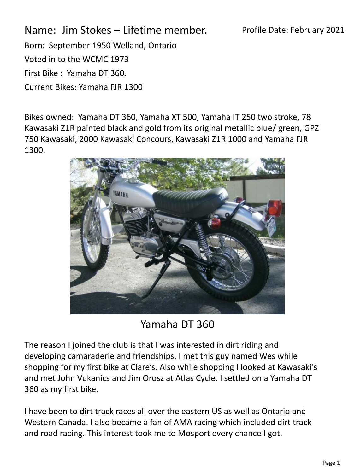Profile Date: February 2021

Name: Jim Stokes – Lifetime member. Born: September 1950 Welland, Ontario Voted in to the WCMC 1973 First Bike : Yamaha DT 360. Current Bikes: Yamaha FJR 1300

Bikes owned: Yamaha DT 360, Yamaha XT 500, Yamaha IT 250 two stroke, 78 Kawasaki Z1R painted black and gold from its original metallic blue/ green, GPZ 750 Kawasaki, 2000 Kawasaki Concours, Kawasaki Z1R 1000 and Yamaha FJR 1300.



Yamaha DT 360

The reason I joined the club is that I was interested in dirt riding and developing camaraderie and friendships. I met this guy named Wes while shopping for my first bike at Clare's. Also while shopping I looked at Kawasaki's and met John Vukanics and Jim Orosz at Atlas Cycle. I settled on a Yamaha DT 360 as my first bike.

I have been to dirt track races all over the eastern US as well as Ontario and Western Canada. I also became a fan of AMA racing which included dirt track and road racing. This interest took me to Mosport every chance I got.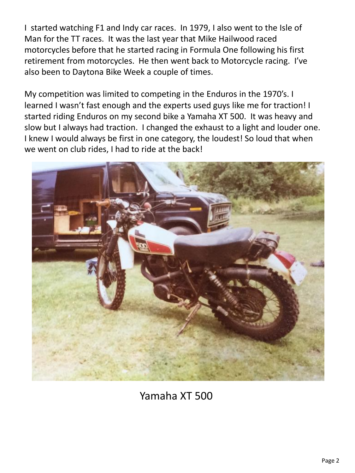I started watching F1 and Indy car races. In 1979, I also went to the Isle of Man for the TT races. It was the last year that Mike Hailwood raced motorcycles before that he started racing in Formula One following his first retirement from motorcycles. He then went back to Motorcycle racing. I've also been to Daytona Bike Week a couple of times.

My competition was limited to competing in the Enduros in the 1970's. I learned I wasn't fast enough and the experts used guys like me for traction! I started riding Enduros on my second bike a Yamaha XT 500. It was heavy and slow but I always had traction. I changed the exhaust to a light and louder one. I knew I would always be first in one category, the loudest! So loud that when we went on club rides, I had to ride at the back!



Yamaha XT 500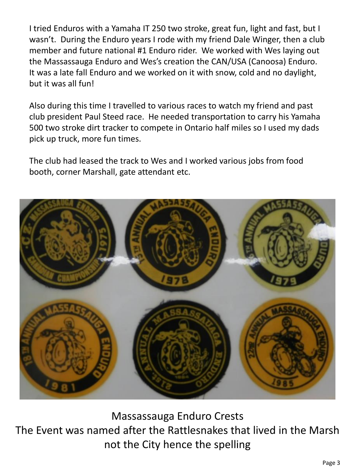I tried Enduros with a Yamaha IT 250 two stroke, great fun, light and fast, but I wasn't. During the Enduro years I rode with my friend Dale Winger, then a club member and future national #1 Enduro rider. We worked with Wes laying out the Massassauga Enduro and Wes's creation the CAN/USA (Canoosa) Enduro. It was a late fall Enduro and we worked on it with snow, cold and no daylight, but it was all fun!

Also during this time I travelled to various races to watch my friend and past club president Paul Steed race. He needed transportation to carry his Yamaha 500 two stroke dirt tracker to compete in Ontario half miles so I used my dads pick up truck, more fun times.

The club had leased the track to Wes and I worked various jobs from food booth, corner Marshall, gate attendant etc.



Massassauga Enduro Crests The Event was named after the Rattlesnakes that lived in the Marsh not the City hence the spelling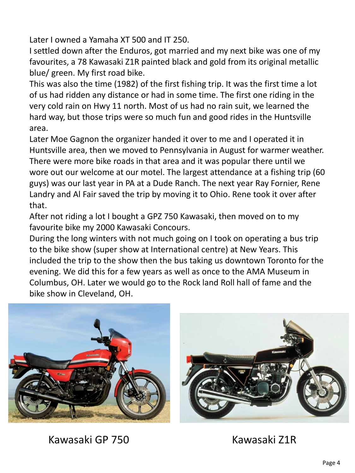Later I owned a Yamaha XT 500 and IT 250.

I settled down after the Enduros, got married and my next bike was one of my favourites, a 78 Kawasaki Z1R painted black and gold from its original metallic blue/ green. My first road bike.

This was also the time (1982) of the first fishing trip. It was the first time a lot of us had ridden any distance or had in some time. The first one riding in the very cold rain on Hwy 11 north. Most of us had no rain suit, we learned the hard way, but those trips were so much fun and good rides in the Huntsville area.

Later Moe Gagnon the organizer handed it over to me and I operated it in Huntsville area, then we moved to Pennsylvania in August for warmer weather. There were more bike roads in that area and it was popular there until we wore out our welcome at our motel. The largest attendance at a fishing trip (60 guys) was our last year in PA at a Dude Ranch. The next year Ray Fornier, Rene Landry and Al Fair saved the trip by moving it to Ohio. Rene took it over after that.

After not riding a lot I bought a GPZ 750 Kawasaki, then moved on to my favourite bike my 2000 Kawasaki Concours.

During the long winters with not much going on I took on operating a bus trip to the bike show (super show at International centre) at New Years. This included the trip to the show then the bus taking us downtown Toronto for the evening. We did this for a few years as well as once to the AMA Museum in Columbus, OH. Later we would go to the Rock land Roll hall of fame and the bike show in Cleveland, OH.





Kawasaki GP 750 Kawasaki Z1R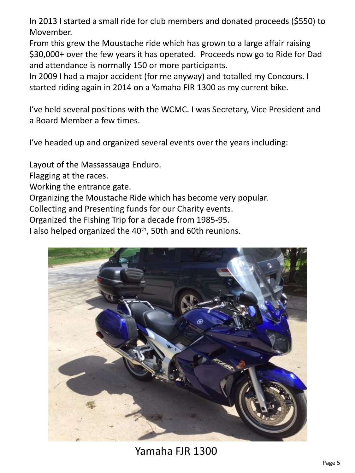In 2013 I started a small ride for club members and donated proceeds (\$550) to Movember.

From this grew the Moustache ride which has grown to a large affair raising \$30,000+ over the few years it has operated. Proceeds now go to Ride for Dad and attendance is normally 150 or more participants.

In 2009 I had a major accident (for me anyway) and totalled my Concours. I started riding again in 2014 on a Yamaha FIR 1300 as my current bike.

I've held several positions with the WCMC. I was Secretary, Vice President and a Board Member a few times.

I've headed up and organized several events over the years including:

Layout of the Massassauga Enduro.

Flagging at the races.

Working the entrance gate.

Organizing the Moustache Ride which has become very popular.

Collecting and Presenting funds for our Charity events.

Organized the Fishing Trip for a decade from 1985-95.

I also helped organized the 40<sup>th</sup>, 50th and 60th reunions.



Yamaha FJR 1300